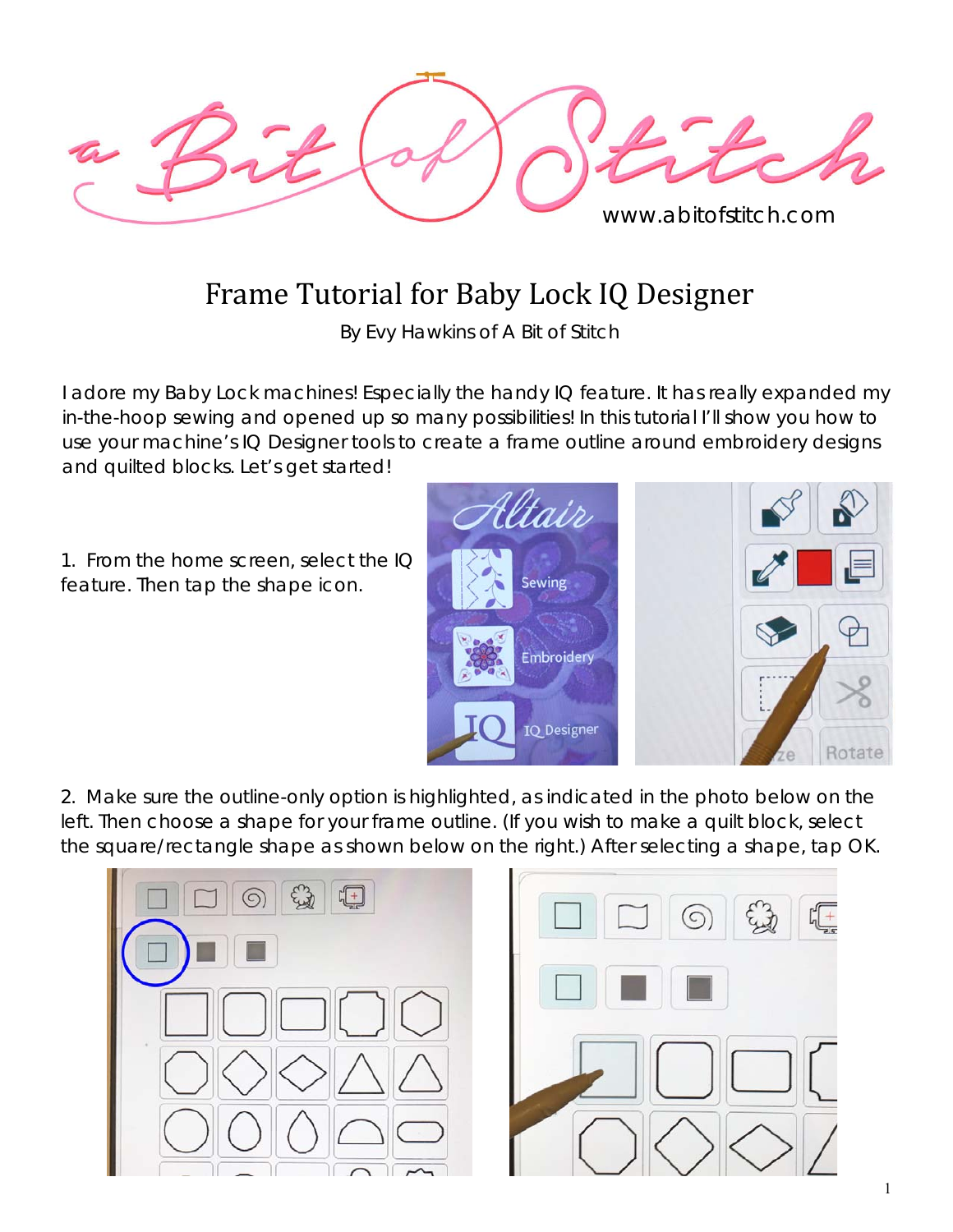

## Frame Tutorial for Baby Lock IQ Designer

By Evy Hawkins of A Bit of Stitch

I adore my Baby Lock machines! Especially the handy IQ feature. It has really expanded my in-the-hoop sewing and opened up so many possibilities! In this tutorial I'll show you how to use your machine's IQ Designer tools to create a frame outline around embroidery designs and quilted blocks. Let's get started!

1. From the home screen, select the IQ feature. Then tap the shape icon.



2. Make sure the outline-only option is highlighted, as indicated in the photo below on the left. Then choose a shape for your frame outline. (If you wish to make a quilt block, select the *square/rectangle* shape as shown below on the right.) After selecting a shape, tap OK.

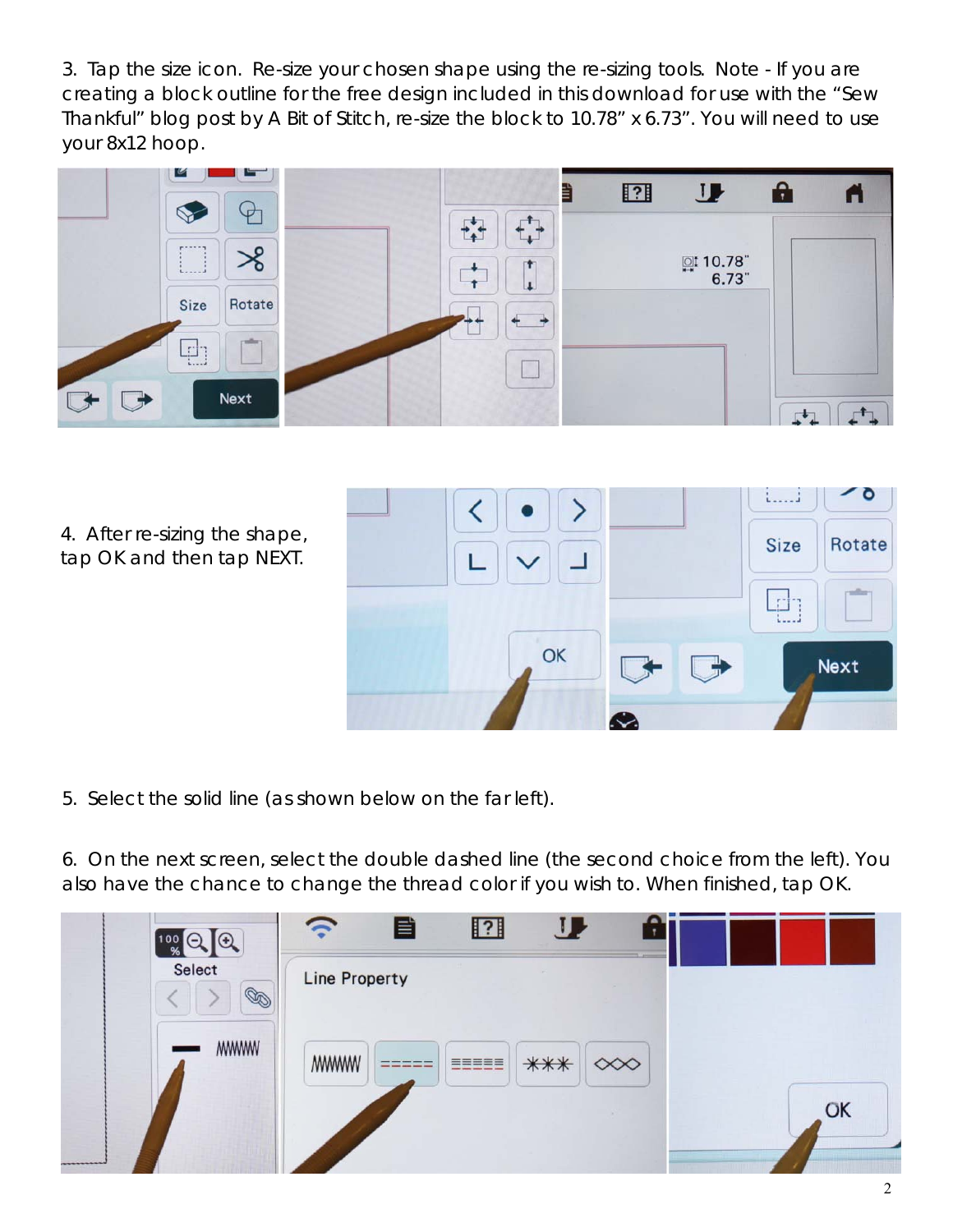3. Tap the size icon. Re-size your chosen shape using the re-sizing tools. *Note - If you are creating a block outline for the free design included in this download for use with the "Sew Thankful" blog post by A Bit of Stitch, re-size the block to 10.78" x 6.73". You will need to use your 8x12 hoop*.



4. After re-sizing the shape, tap OK and then tap NEXT.



5. Select the solid line (as shown below on the far left).

6. On the next screen, select the double dashed line (the second choice from the left). You also have the chance to change the thread color if you wish to. When finished, tap OK.

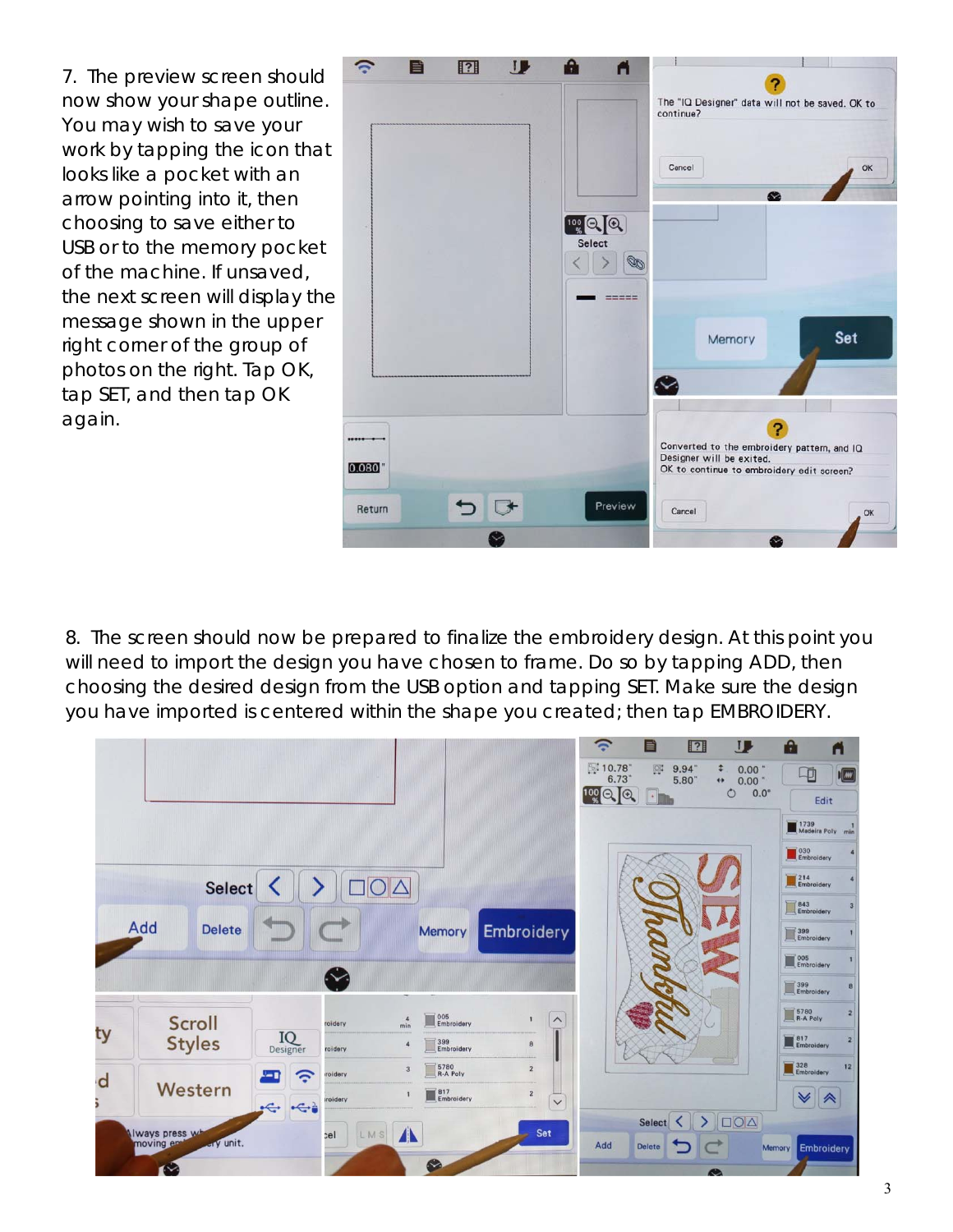7. The preview screen should now show your shape outline. You may wish to save your work by tapping the icon that looks like a pocket with an arrow pointing into it, then choosing to save either to USB or to the memory pocket of the machine. If *unsaved*, the next screen will display the message shown in the upper right corner of the group of photos on the right. Tap OK, tap SET, and then tap OK again.



8. The screen should now be prepared to finalize the embroidery design. At this point you will need to import the design you have chosen to frame. Do so by tapping ADD, then choosing the desired design from the USB option and tapping SET. Make sure the design you have imported is *centered* within the shape you created; then tap EMBROIDERY.

|    |                      |                                          |                                            |                                         | $\hat{\gamma}$<br>目                                     | $\mathbf{U}$<br>$\boxed{?}$                                                                   | $\mathbf{r}$<br>ñ                              |
|----|----------------------|------------------------------------------|--------------------------------------------|-----------------------------------------|---------------------------------------------------------|-----------------------------------------------------------------------------------------------|------------------------------------------------|
|    |                      |                                          |                                            |                                         | 图10.78<br>6.73"<br>$100 \bigcirc$ $\bigcirc$ $\bigcirc$ | $\boxed{\square!}$<br>9.94<br>¢<br>0.00"<br>5.80"<br>÷F.<br>$\circ$<br>$\cdot$ $\blacksquare$ | $\sqrt{w}$<br>中<br>0.00<br>$0.0^\circ$<br>Edit |
|    |                      |                                          |                                            |                                         |                                                         |                                                                                               | 1739 1739<br>Madeira Poly min                  |
|    |                      |                                          |                                            |                                         |                                                         |                                                                                               | 030<br>Embroidery                              |
|    | Select               |                                          |                                            |                                         |                                                         |                                                                                               | 214<br>Embroidery                              |
|    |                      |                                          |                                            |                                         |                                                         |                                                                                               | B43<br>Embroidery                              |
|    | Add<br><b>Delete</b> |                                          | <b>Memory</b>                              | Embroidery                              |                                                         |                                                                                               | 399<br>Embroidery                              |
|    |                      | $\bullet$                                |                                            |                                         |                                                         |                                                                                               | COS Embroidery                                 |
|    |                      |                                          |                                            |                                         |                                                         |                                                                                               | 399<br>Embroidery                              |
|    | Scroll               | roidery                                  | 005<br>Embroidery<br>$\overline{4}$<br>min | $\widehat{\phantom{0}}$<br>$\mathbf{I}$ |                                                         |                                                                                               | 5780<br>R-A Poly                               |
| ty | <b>Styles</b>        | $\prod_{\text{Designer}}$<br>roidery     | 399<br>Embroidery<br>$\overline{4}$        | 8                                       |                                                         |                                                                                               | 817<br>Embroidery<br>$\overline{2}$            |
| d  |                      | roidery<br>Ξ                             | 5780<br>R-A Poly<br>3                      | $\sqrt{2}$                              |                                                         |                                                                                               | 328<br>Embroidery<br>12                        |
|    | Western              | <i><b>iroidery</b></i><br>$\xi$<br>$\xi$ | 817<br>Embroidery                          | $\overline{2}$<br>$\checkmark$          |                                                         |                                                                                               | ∀                                              |
|    | Iways press wh       | rel                                      | $\mathbf{A}$<br>LMS                        | Set                                     |                                                         | $\sum_{i=1}^{n}$<br>Select<br>≺                                                               |                                                |
|    | ary unit.            |                                          | $\sim$                                     |                                         | Add<br>Delete                                           |                                                                                               | <b>Embroidery</b><br>Memory                    |
|    |                      |                                          |                                            |                                         |                                                         | $\bullet$                                                                                     |                                                |